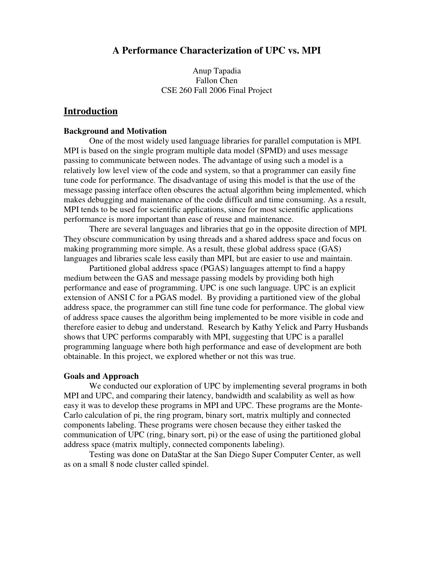### **A Performance Characterization of UPC vs. MPI**

### Anup Tapadia Fallon Chen CSE 260 Fall 2006 Final Project

### **Introduction**

#### **Background and Motivation**

 One of the most widely used language libraries for parallel computation is MPI. MPI is based on the single program multiple data model (SPMD) and uses message passing to communicate between nodes. The advantage of using such a model is a relatively low level view of the code and system, so that a programmer can easily fine tune code for performance. The disadvantage of using this model is that the use of the message passing interface often obscures the actual algorithm being implemented, which makes debugging and maintenance of the code difficult and time consuming. As a result, MPI tends to be used for scientific applications, since for most scientific applications performance is more important than ease of reuse and maintenance.

 There are several languages and libraries that go in the opposite direction of MPI. They obscure communication by using threads and a shared address space and focus on making programming more simple. As a result, these global address space (GAS) languages and libraries scale less easily than MPI, but are easier to use and maintain.

 Partitioned global address space (PGAS) languages attempt to find a happy medium between the GAS and message passing models by providing both high performance and ease of programming. UPC is one such language. UPC is an explicit extension of ANSI C for a PGAS model. By providing a partitioned view of the global address space, the programmer can still fine tune code for performance. The global view of address space causes the algorithm being implemented to be more visible in code and therefore easier to debug and understand. Research by Kathy Yelick and Parry Husbands shows that UPC performs comparably with MPI, suggesting that UPC is a parallel programming language where both high performance and ease of development are both obtainable. In this project, we explored whether or not this was true.

#### **Goals and Approach**

 We conducted our exploration of UPC by implementing several programs in both MPI and UPC, and comparing their latency, bandwidth and scalability as well as how easy it was to develop these programs in MPI and UPC. These programs are the Monte-Carlo calculation of pi, the ring program, binary sort, matrix multiply and connected components labeling. These programs were chosen because they either tasked the communication of UPC (ring, binary sort, pi) or the ease of using the partitioned global address space (matrix multiply, connected components labeling).

 Testing was done on DataStar at the San Diego Super Computer Center, as well as on a small 8 node cluster called spindel.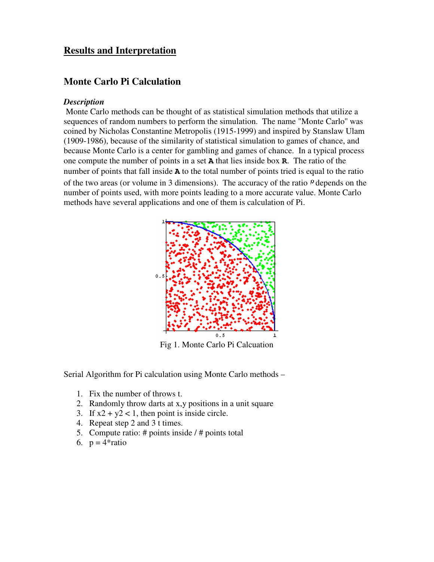### **Results and Interpretation**

### **Monte Carlo Pi Calculation**

#### *Description*

 Monte Carlo methods can be thought of as statistical simulation methods that utilize a sequences of random numbers to perform the simulation. The name "Monte Carlo'' was coined by Nicholas Constantine Metropolis (1915-1999) and inspired by Stanslaw Ulam (1909-1986), because of the similarity of statistical simulation to games of chance, and because Monte Carlo is a center for gambling and games of chance. In a typical process one compute the number of points in a set **A** that lies inside box **R**. The ratio of the number of points that fall inside **A** to the total number of points tried is equal to the ratio of the two areas (or volume in 3 dimensions). The accuracy of the ratio  $\rho$  depends on the number of points used, with more points leading to a more accurate value. Monte Carlo methods have several applications and one of them is calculation of Pi.



Fig 1. Monte Carlo Pi Calcuation

Serial Algorithm for Pi calculation using Monte Carlo methods –

- 1. Fix the number of throws t.
- 2. Randomly throw darts at x,y positions in a unit square
- 3. If  $x^2 + y^2 < 1$ , then point is inside circle.
- 4. Repeat step 2 and 3 t times.
- 5. Compute ratio: # points inside / # points total
- 6.  $p = 4*ratio$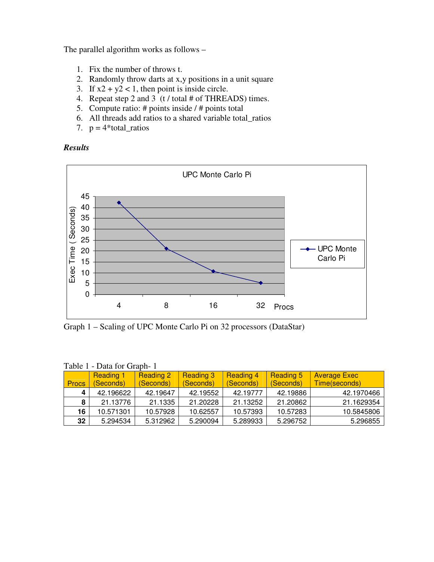The parallel algorithm works as follows –

- 1. Fix the number of throws t.
- 2. Randomly throw darts at x,y positions in a unit square
- 3. If  $x^2 + y^2 < 1$ , then point is inside circle.
- 4. Repeat step 2 and 3 (t / total # of THREADS) times.
- 5. Compute ratio: # points inside / # points total
- 6. All threads add ratios to a shared variable total\_ratios
- 7.  $p = 4*total\_ratios$

*Results* 



Graph 1 – Scaling of UPC Monte Carlo Pi on 32 processors (DataStar)

| Table 1 - Data IVI Graph-T |                               |                               |                               |                               |                               |                                      |
|----------------------------|-------------------------------|-------------------------------|-------------------------------|-------------------------------|-------------------------------|--------------------------------------|
| <b>Procs</b>               | <b>Reading 1</b><br>(Seconds) | <b>Reading 2</b><br>(Seconds) | <b>Reading 3</b><br>(Seconds) | <b>Reading 4</b><br>(Seconds) | <b>Reading 5</b><br>(Seconds) | <b>Average Exec</b><br>Time(seconds) |
| 4                          | 42.196622                     | 42.19647                      | 42.19552                      | 42.19777                      | 42.19886                      | 42.1970466                           |
| 8                          | 21.13776                      | 21.1335                       | 21.20228                      | 21.13252                      | 21.20862                      | 21.1629354                           |
| 16                         | 10.571301                     | 10.57928                      | 10.62557                      | 10.57393                      | 10.57283                      | 10.5845806                           |
| 32                         | 5.294534                      | 5.312962                      | 5.290094                      | 5.289933                      | 5.296752                      | 5.296855                             |

Table 1 - Data for Graph- 1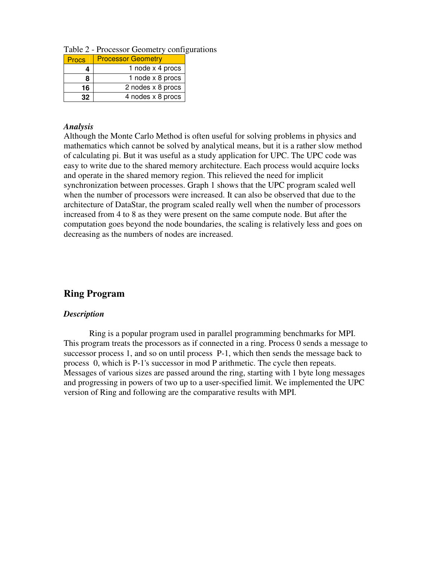Table 2 - Processor Geometry configurations

| Procs | <b>Processor Geometry</b> |
|-------|---------------------------|
|       | 1 node x 4 procs          |
| 8     | 1 node x 8 procs          |
| 16    | 2 nodes x 8 procs         |
| 32.   | 4 nodes x 8 procs         |

#### *Analysis*

Although the Monte Carlo Method is often useful for solving problems in physics and mathematics which cannot be solved by analytical means, but it is a rather slow method of calculating pi. But it was useful as a study application for UPC. The UPC code was easy to write due to the shared memory architecture. Each process would acquire locks and operate in the shared memory region. This relieved the need for implicit synchronization between processes. Graph 1 shows that the UPC program scaled well when the number of processors were increased. It can also be observed that due to the architecture of DataStar, the program scaled really well when the number of processors increased from 4 to 8 as they were present on the same compute node. But after the computation goes beyond the node boundaries, the scaling is relatively less and goes on decreasing as the numbers of nodes are increased.

### **Ring Program**

#### *Description*

 Ring is a popular program used in parallel programming benchmarks for MPI. This program treats the processors as if connected in a ring. Process 0 sends a message to successor process 1, and so on until process P-1, which then sends the message back to process 0, which is P-1's successor in mod P arithmetic. The cycle then repeats. Messages of various sizes are passed around the ring, starting with 1 byte long messages and progressing in powers of two up to a user-specified limit. We implemented the UPC version of Ring and following are the comparative results with MPI.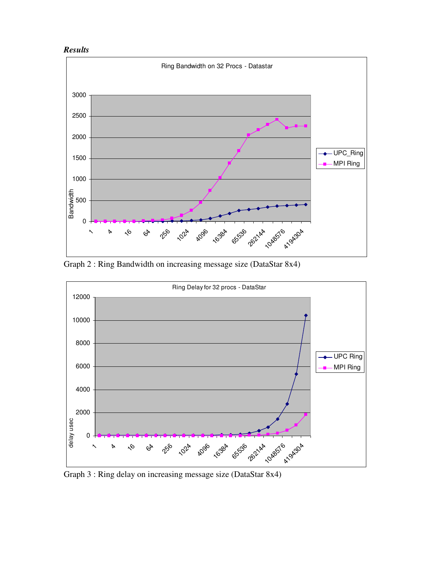



Graph 2 : Ring Bandwidth on increasing message size (DataStar 8x4)



Graph 3 : Ring delay on increasing message size (DataStar 8x4)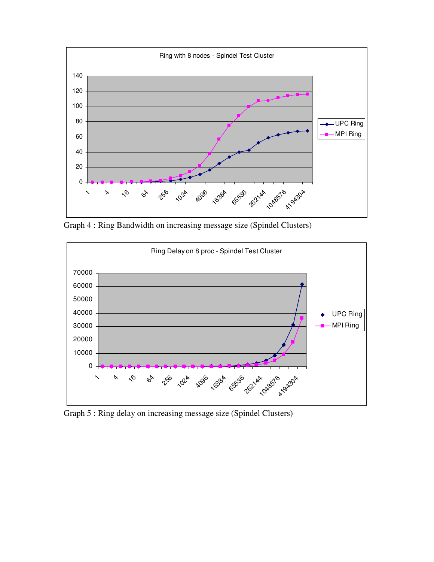

Graph 4 : Ring Bandwidth on increasing message size (Spindel Clusters)



Graph 5 : Ring delay on increasing message size (Spindel Clusters)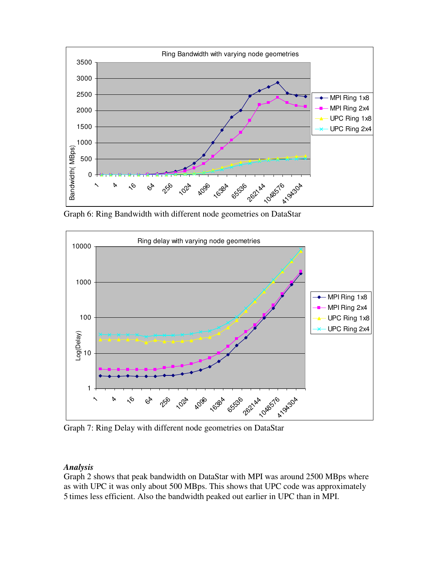

Graph 6: Ring Bandwidth with different node geometries on DataStar



Graph 7: Ring Delay with different node geometries on DataStar

### *Analysis*

Graph 2 shows that peak bandwidth on DataStar with MPI was around 2500 MBps where as with UPC it was only about 500 MBps. This shows that UPC code was approximately times less efficient. Also the bandwidth peaked out earlier in UPC than in MPI.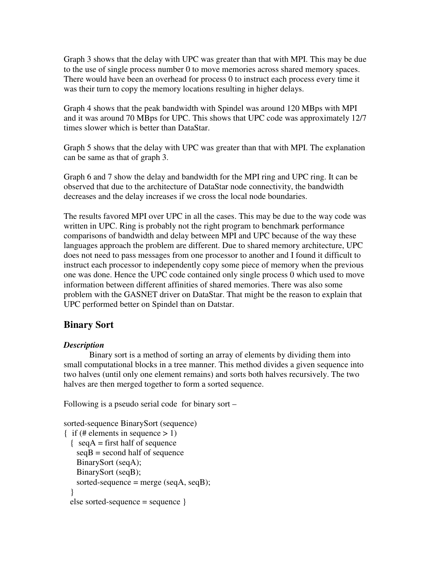Graph 3 shows that the delay with UPC was greater than that with MPI. This may be due to the use of single process number 0 to move memories across shared memory spaces. There would have been an overhead for process 0 to instruct each process every time it was their turn to copy the memory locations resulting in higher delays.

Graph 4 shows that the peak bandwidth with Spindel was around 120 MBps with MPI and it was around 70 MBps for UPC. This shows that UPC code was approximately 12/7 times slower which is better than DataStar.

Graph 5 shows that the delay with UPC was greater than that with MPI. The explanation can be same as that of graph 3.

Graph 6 and 7 show the delay and bandwidth for the MPI ring and UPC ring. It can be observed that due to the architecture of DataStar node connectivity, the bandwidth decreases and the delay increases if we cross the local node boundaries.

The results favored MPI over UPC in all the cases. This may be due to the way code was written in UPC. Ring is probably not the right program to benchmark performance comparisons of bandwidth and delay between MPI and UPC because of the way these languages approach the problem are different. Due to shared memory architecture, UPC does not need to pass messages from one processor to another and I found it difficult to instruct each processor to independently copy some piece of memory when the previous one was done. Hence the UPC code contained only single process 0 which used to move information between different affinities of shared memories. There was also some problem with the GASNET driver on DataStar. That might be the reason to explain that UPC performed better on Spindel than on Datstar.

### **Binary Sort**

### *Description*

 Binary sort is a method of sorting an array of elements by dividing them into small computational blocks in a tree manner. This method divides a given sequence into two halves (until only one element remains) and sorts both halves recursively. The two halves are then merged together to form a sorted sequence.

Following is a pseudo serial code for binary sort –

```
sorted-sequence BinarySort (sequence) 
{ if (# elements in sequence > 1)
  \{ seqA = first half of sequence
   seqB = second half of sequence BinarySort (seqA); 
    BinarySort (seqB); 
   sorted-sequence = merge (seqA, seqB);
 } 
  else sorted-sequence = sequence }
```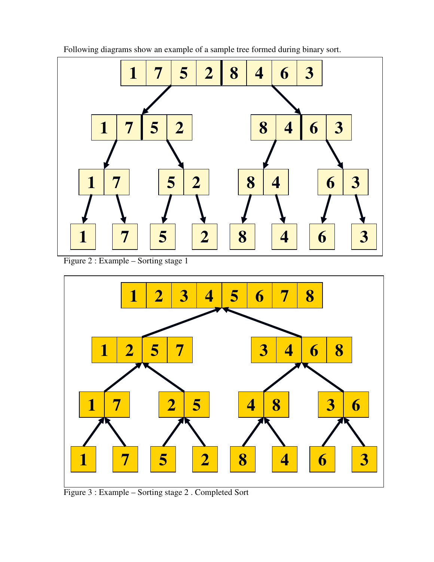

Following diagrams show an example of a sample tree formed during binary sort.

Figure 2 : Example – Sorting stage 1



Figure 3 : Example – Sorting stage 2 . Completed Sort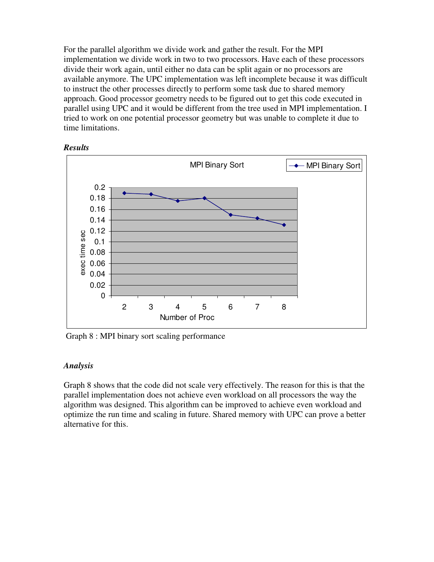For the parallel algorithm we divide work and gather the result. For the MPI implementation we divide work in two to two processors. Have each of these processors divide their work again, until either no data can be split again or no processors are available anymore. The UPC implementation was left incomplete because it was difficult to instruct the other processes directly to perform some task due to shared memory approach. Good processor geometry needs to be figured out to get this code executed in parallel using UPC and it would be different from the tree used in MPI implementation. I tried to work on one potential processor geometry but was unable to complete it due to time limitations.





Graph 8 : MPI binary sort scaling performance

### *Analysis*

Graph 8 shows that the code did not scale very effectively. The reason for this is that the parallel implementation does not achieve even workload on all processors the way the algorithm was designed. This algorithm can be improved to achieve even workload and optimize the run time and scaling in future. Shared memory with UPC can prove a better alternative for this.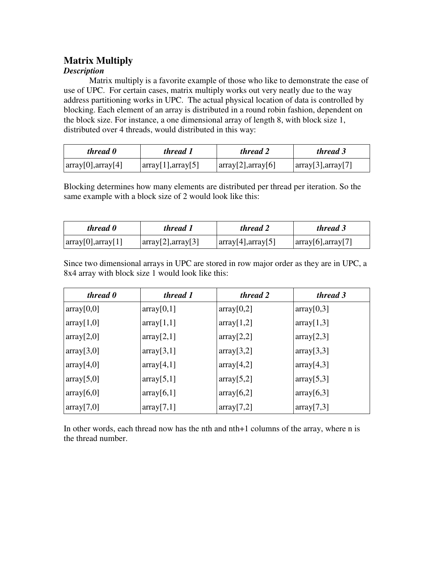### **Matrix Multiply**

### *Description*

 Matrix multiply is a favorite example of those who like to demonstrate the ease of use of UPC. For certain cases, matrix multiply works out very neatly due to the way address partitioning works in UPC. The actual physical location of data is controlled by blocking. Each element of an array is distributed in a round robin fashion, dependent on the block size. For instance, a one dimensional array of length 8, with block size 1, distributed over 4 threads, would distributed in this way:

| thread 0                    | thread 1                                       | thread 2                                       | thread 3                    |
|-----------------------------|------------------------------------------------|------------------------------------------------|-----------------------------|
| $\arctan[0]$ , $\arctan[4]$ | $\arctan\left[1\right], \arctan\left[5\right]$ | $\arctan\left[2\right], \arctan\left[6\right]$ | $\arctan[3]$ , $\arctan[7]$ |

Blocking determines how many elements are distributed per thread per iteration. So the same example with a block size of 2 would look like this:

| thread 0                    | thread 1                    | thread 2                                       | thread 3                    |
|-----------------------------|-----------------------------|------------------------------------------------|-----------------------------|
| $\arctan[0]$ , $\arctan[1]$ | $\arctan[2]$ , $\arctan[3]$ | $\arctan\left(4\right], \arctan\left(5\right)$ | $\arctan(6)$ , $\arctan(7)$ |

Since two dimensional arrays in UPC are stored in row major order as they are in UPC, a 8x4 array with block size 1 would look like this:

| thread 0   | thread 1   | thread 2   | thread 3   |
|------------|------------|------------|------------|
| array[0,0] | array[0,1] | array[0,2] | array[0,3] |
| array[1,0] | array[1,1] | array[1,2] | array[1,3] |
| array[2,0] | array[2,1] | array[2,2] | array[2,3] |
| array[3,0] | array[3,1] | array[3,2] | array[3,3] |
| array[4,0] | array[4,1] | array[4,2] | array[4,3] |
| array[5,0] | array[5,1] | array[5,2] | array[5,3] |
| array[6,0] | array[6,1] | array[6,2] | array[6,3] |
| array[7,0] | array[7,1] | array[7,2] | array[7,3] |

In other words, each thread now has the nth and nth+1 columns of the array, where n is the thread number.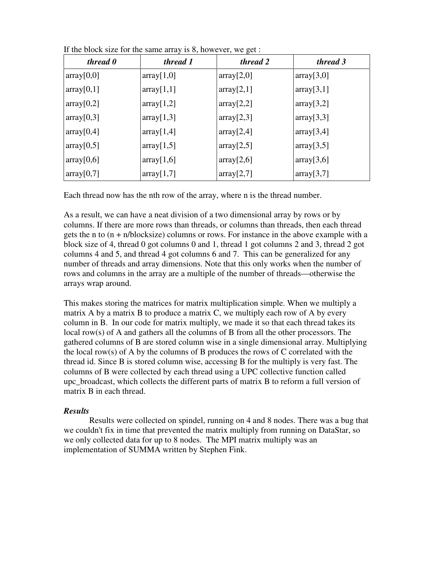| thread 0   | thread 1   | thread 2   | thread 3   |
|------------|------------|------------|------------|
| array[0,0] | array[1,0] | array[2,0] | array[3,0] |
| array[0,1] | array[1,1] | array[2,1] | array[3,1] |
| array[0,2] | array[1,2] | array[2,2] | array[3,2] |
| array[0,3] | array[1,3] | array[2,3] | array[3,3] |
| array[0,4] | array[1,4] | array[2,4] | array[3,4] |
| array[0,5] | array[1,5] | array[2,5] | array[3,5] |
| array[0,6] | array[1,6] | array[2,6] | array[3,6] |
| array[0,7] | array[1,7] | array[2,7] | array[3,7] |

If the block size for the same array is 8, however, we get :

Each thread now has the nth row of the array, where n is the thread number.

As a result, we can have a neat division of a two dimensional array by rows or by columns. If there are more rows than threads, or columns than threads, then each thread gets the n to  $(n + n/b)$  columns or rows. For instance in the above example with a block size of 4, thread 0 got columns 0 and 1, thread 1 got columns 2 and 3, thread 2 got columns 4 and 5, and thread 4 got columns 6 and 7. This can be generalized for any number of threads and array dimensions. Note that this only works when the number of rows and columns in the array are a multiple of the number of threads—otherwise the arrays wrap around.

This makes storing the matrices for matrix multiplication simple. When we multiply a matrix A by a matrix B to produce a matrix C, we multiply each row of A by every column in B. In our code for matrix multiply, we made it so that each thread takes its local row(s) of A and gathers all the columns of B from all the other processors. The gathered columns of B are stored column wise in a single dimensional array. Multiplying the local row(s) of A by the columns of B produces the rows of C correlated with the thread id. Since B is stored column wise, accessing B for the multiply is very fast. The columns of B were collected by each thread using a UPC collective function called upc\_broadcast, which collects the different parts of matrix B to reform a full version of matrix B in each thread.

### *Results*

 Results were collected on spindel, running on 4 and 8 nodes. There was a bug that we couldn't fix in time that prevented the matrix multiply from running on DataStar, so we only collected data for up to 8 nodes. The MPI matrix multiply was an implementation of SUMMA written by Stephen Fink.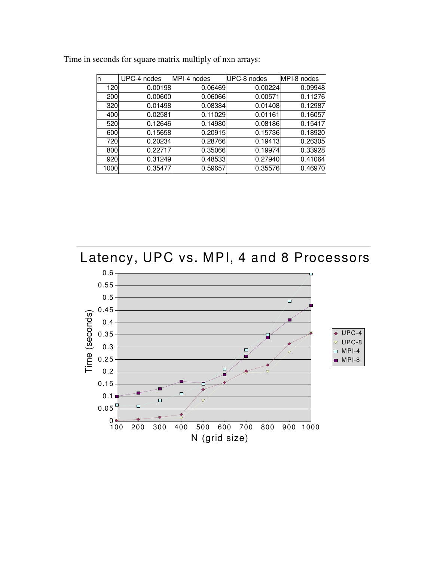| ın   | UPC-4 nodes | MPI-4 nodes | UPC-8 nodes | MPI-8 nodes |
|------|-------------|-------------|-------------|-------------|
| 120  | 0.00198     | 0.06469     | 0.00224     | 0.09948     |
| 200  | 0.00600     | 0.06066     | 0.00571     | 0.11276     |
| 320  | 0.01498     | 0.08384     | 0.01408     | 0.12987     |
| 400  | 0.02581     | 0.11029     | 0.01161     | 0.16057     |
| 520  | 0.12646     | 0.14980     | 0.08186     | 0.15417     |
| 600  | 0.15658     | 0.20915     | 0.15736     | 0.18920     |
| 720  | 0.20234     | 0.28766     | 0.19413     | 0.26305     |
| 800  | 0.22717     | 0.35066     | 0.19974     | 0.33928     |
| 920  | 0.31249     | 0.48533     | 0.27940     | 0.41064     |
| 1000 | 0.35477     | 0.59657     | 0.35576     | 0.46970     |

Time in seconds for square matrix multiply of nxn arrays:

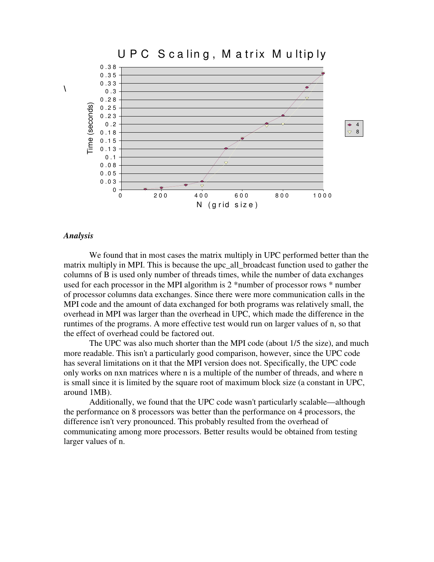

#### *Analysis*

 We found that in most cases the matrix multiply in UPC performed better than the matrix multiply in MPI. This is because the upc\_all\_broadcast function used to gather the columns of B is used only number of threads times, while the number of data exchanges used for each processor in the MPI algorithm is 2 \*number of processor rows \* number of processor columns data exchanges. Since there were more communication calls in the MPI code and the amount of data exchanged for both programs was relatively small, the overhead in MPI was larger than the overhead in UPC, which made the difference in the runtimes of the programs. A more effective test would run on larger values of n, so that the effect of overhead could be factored out.

 The UPC was also much shorter than the MPI code (about 1/5 the size), and much more readable. This isn't a particularly good comparison, however, since the UPC code has several limitations on it that the MPI version does not. Specifically, the UPC code only works on nxn matrices where n is a multiple of the number of threads, and where n is small since it is limited by the square root of maximum block size (a constant in UPC, around 1MB).

 Additionally, we found that the UPC code wasn't particularly scalable—although the performance on 8 processors was better than the performance on 4 processors, the difference isn't very pronounced. This probably resulted from the overhead of communicating among more processors. Better results would be obtained from testing larger values of n.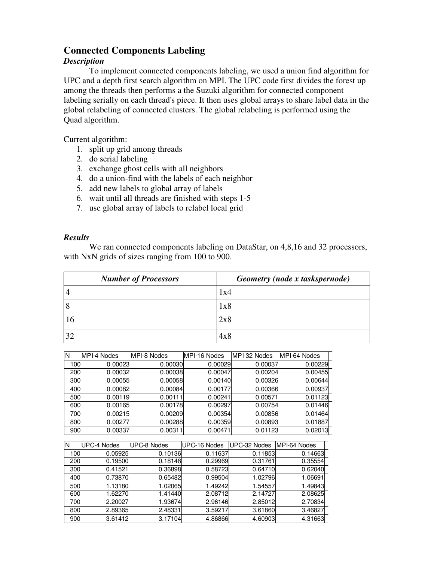### **Connected Components Labeling**

### *Description*

 To implement connected components labeling, we used a union find algorithm for UPC and a depth first search algorithm on MPI. The UPC code first divides the forest up among the threads then performs a the Suzuki algorithm for connected component labeling serially on each thread's piece. It then uses global arrays to share label data in the global relabeling of connected clusters. The global relabeling is performed using the Quad algorithm.

Current algorithm:

- 1. split up grid among threads
- 2. do serial labeling
- 3. exchange ghost cells with all neighbors
- 4. do a union-find with the labels of each neighbor
- 5. add new labels to global array of labels
- 6. wait until all threads are finished with steps 1-5
- 7. use global array of labels to relabel local grid

### *Results*

We ran connected components labeling on DataStar, on 4,8,16 and 32 processors, with NxN grids of sizes ranging from 100 to 900.

| <b>Number of Processors</b> | Geometry (node x taskspernode) |
|-----------------------------|--------------------------------|
|                             | 1x4                            |
| 8                           | 1x8                            |
| 16                          | 2x8                            |
| 32                          |                                |

| N   | MPI-4 Nodes        | MPI-8 Nodes        | MPI-16 Nodes | MPI-32 Nodes | MPI-64 Nodes |
|-----|--------------------|--------------------|--------------|--------------|--------------|
| 100 | 0.00023            | 0.00030            | 0.00029      | 0.00037      | 0.00229      |
| 200 | 0.00032            | 0.00038            | 0.00047      | 0.00204      | 0.00455      |
| 300 | 0.00055            | 0.00058            | 0.00140      | 0.00326      | 0.00644      |
| 400 | 0.00082            | 0.00084            | 0.00177      | 0.00366      | 0.00937      |
| 500 | 0.00119            | 0.00111            | 0.00241      | 0.00571      | 0.01123      |
| 600 | 0.00165            | 0.00178            | 0.00297      | 0.00754      | 0.01446      |
| 700 | 0.00215            | 0.00209            | 0.00354      | 0.00856      | 0.01464      |
| 800 | 0.00277            | 0.00288            | 0.00359      | 0.00893      | 0.01887      |
| 900 | 0.00337            | 0.00311            | 0.00471      | 0.01123      | 0.02013      |
|     |                    |                    |              |              |              |
| N   | <b>UPC-4 Nodes</b> | <b>UPC-8 Nodes</b> | UPC-16 Nodes | UPC-32 Nodes | MPI-64 Nodes |
| 100 | 0.05925            | 0.10136            | 0.11637      | 0.11853      | 0.14663      |
| 200 | 0.19500            | 0.18148            | 0.29969      | 0.31761      | 0.35554      |
| 300 | 0.41521            | 0.36898            | 0.58723      | 0.64710      | 0.62040      |
| 400 | 0.73870            | 0.65482            | 0.99504      | 1.02796      | 1.06691      |
| 500 | 1.13180            | 1.02065            | 1.49242      | 1.54557      | 1.49843      |
| 600 | 1.62270            | 1.41440            | 2.08712      | 2.14727      | 2.08625      |
| 700 | 2.20027            | 1.93674            | 2.96146      | 2.85012      | 2.70834      |
| 800 | 2.89365            | 2.48331            | 3.59217      | 3.61860      | 3.46827      |
| 900 |                    |                    |              |              |              |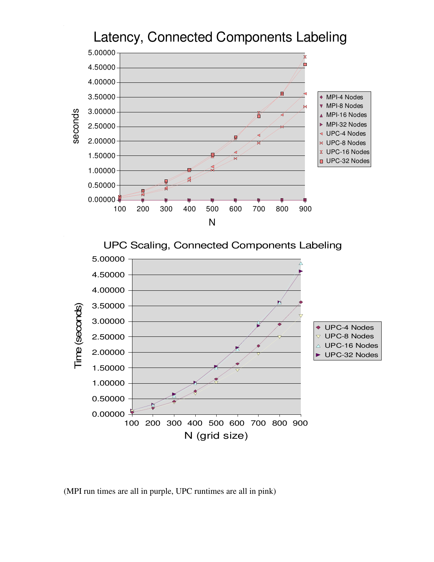

(MPI run times are all in purple, UPC runtimes are all in pink)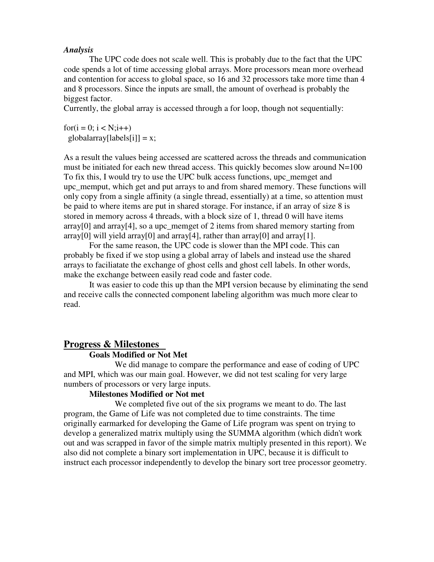#### *Analysis*

 The UPC code does not scale well. This is probably due to the fact that the UPC code spends a lot of time accessing global arrays. More processors mean more overhead and contention for access to global space, so 16 and 32 processors take more time than 4 and 8 processors. Since the inputs are small, the amount of overhead is probably the biggest factor.

Currently, the global array is accessed through a for loop, though not sequentially:

for( $i = 0$ ;  $i < N$ ; $i++$ )  $g$ lobalarray[labels[i]] = x;

As a result the values being accessed are scattered across the threads and communication must be initiated for each new thread access. This quickly becomes slow around  $N=100$ To fix this, I would try to use the UPC bulk access functions, upc\_memget and upc\_memput, which get and put arrays to and from shared memory. These functions will only copy from a single affinity (a single thread, essentially) at a time, so attention must be paid to where items are put in shared storage. For instance, if an array of size 8 is stored in memory across 4 threads, with a block size of 1, thread 0 will have items  $\arctan(0)$  and  $\arctan(4)$ , so a upc\_memget of 2 items from shared memory starting from  $array[0]$  will yield  $array[0]$  and  $array[4]$ , rather than  $array[0]$  and  $array[1]$ .

 For the same reason, the UPC code is slower than the MPI code. This can probably be fixed if we stop using a global array of labels and instead use the shared arrays to faciliatate the exchange of ghost cells and ghost cell labels. In other words, make the exchange between easily read code and faster code.

 It was easier to code this up than the MPI version because by eliminating the send and receive calls the connected component labeling algorithm was much more clear to read.

### **Progress & Milestones**

#### **Goals Modified or Not Met**

 We did manage to compare the performance and ease of coding of UPC and MPI, which was our main goal. However, we did not test scaling for very large numbers of processors or very large inputs.

### **Milestones Modified or Not met**

 We completed five out of the six programs we meant to do. The last program, the Game of Life was not completed due to time constraints. The time originally earmarked for developing the Game of Life program was spent on trying to develop a generalized matrix multiply using the SUMMA algorithm (which didn't work out and was scrapped in favor of the simple matrix multiply presented in this report). We also did not complete a binary sort implementation in UPC, because it is difficult to instruct each processor independently to develop the binary sort tree processor geometry.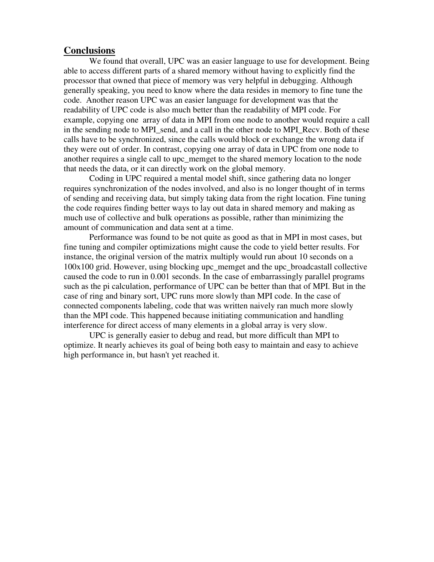#### **Conclusions**

 We found that overall, UPC was an easier language to use for development. Being able to access different parts of a shared memory without having to explicitly find the processor that owned that piece of memory was very helpful in debugging. Although generally speaking, you need to know where the data resides in memory to fine tune the code. Another reason UPC was an easier language for development was that the readability of UPC code is also much better than the readability of MPI code. For example, copying one array of data in MPI from one node to another would require a call in the sending node to MPI send, and a call in the other node to MPI Recv. Both of these calls have to be synchronized, since the calls would block or exchange the wrong data if they were out of order. In contrast, copying one array of data in UPC from one node to another requires a single call to upc\_memget to the shared memory location to the node that needs the data, or it can directly work on the global memory.

 Coding in UPC required a mental model shift, since gathering data no longer requires synchronization of the nodes involved, and also is no longer thought of in terms of sending and receiving data, but simply taking data from the right location. Fine tuning the code requires finding better ways to lay out data in shared memory and making as much use of collective and bulk operations as possible, rather than minimizing the amount of communication and data sent at a time.

 Performance was found to be not quite as good as that in MPI in most cases, but fine tuning and compiler optimizations might cause the code to yield better results. For instance, the original version of the matrix multiply would run about 10 seconds on a 100x100 grid. However, using blocking upc\_memget and the upc\_broadcastall collective caused the code to run in 0.001 seconds. In the case of embarrassingly parallel programs such as the pi calculation, performance of UPC can be better than that of MPI. But in the case of ring and binary sort, UPC runs more slowly than MPI code. In the case of connected components labeling, code that was written naively ran much more slowly than the MPI code. This happened because initiating communication and handling interference for direct access of many elements in a global array is very slow.

 UPC is generally easier to debug and read, but more difficult than MPI to optimize. It nearly achieves its goal of being both easy to maintain and easy to achieve high performance in, but hasn't yet reached it.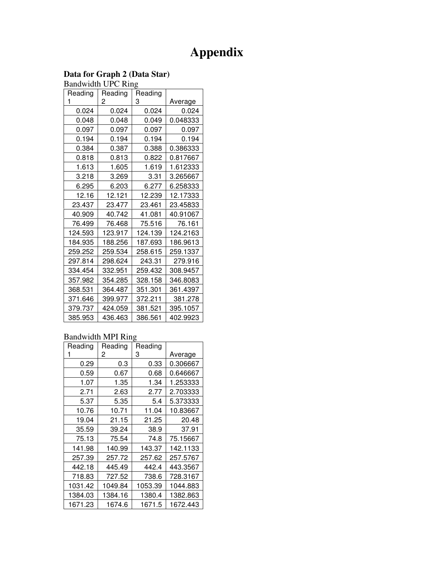# **Appendix**

#### **Data for Graph 2 (Data Star)**

| <b>Bandwidth UPC Ring</b> |                |         |          |  |
|---------------------------|----------------|---------|----------|--|
| Reading                   | Reading        | Reading |          |  |
| 1                         | $\overline{c}$ | 3       | Average  |  |
| 0.024                     | 0.024          | 0.024   | 0.024    |  |
| 0.048                     | 0.048          | 0.049   | 0.048333 |  |
| 0.097                     | 0.097          | 0.097   | 0.097    |  |
| 0.194                     | 0.194          | 0.194   | 0.194    |  |
| 0.384                     | 0.387          | 0.388   | 0.386333 |  |
| 0.818                     | 0.813          | 0.822   | 0.817667 |  |
| 1.613                     | 1.605          | 1.619   | 1.612333 |  |
| 3.218                     | 3.269          | 3.31    | 3.265667 |  |
| 6.295                     | 6.203          | 6.277   | 6.258333 |  |
| 12.16                     | 12.121         | 12.239  | 12.17333 |  |
| 23.437                    | 23.477         | 23.461  | 23.45833 |  |
| 40.909                    | 40.742         | 41.081  | 40.91067 |  |
| 76.499                    | 76.468         | 75.516  | 76.161   |  |
| 124.593                   | 123.917        | 124.139 | 124.2163 |  |
| 184.935                   | 188.256        | 187.693 | 186.9613 |  |
| 259.252                   | 259.534        | 258.615 | 259.1337 |  |
| 297.814                   | 298.624        | 243.31  | 279.916  |  |
| 334.454                   | 332.951        | 259.432 | 308.9457 |  |
| 357.982                   | 354.285        | 328.158 | 346.8083 |  |
| 368.531                   | 364.487        | 351.301 | 361.4397 |  |
| 371.646                   | 399.977        | 372.211 | 381.278  |  |
| 379.737                   | 424.059        | 381.521 | 395.1057 |  |
| 385.953                   | 436.463        | 386.561 | 402.9923 |  |
|                           |                |         |          |  |

### Bandwidth MPI Ring

| Reading | Reading | Reading |          |
|---------|---------|---------|----------|
|         | 2       | 3       | Average  |
| 0.29    | 0.3     | 0.33    | 0.306667 |
| 0.59    | 0.67    | 0.68    | 0.646667 |
| 1.07    | 1.35    | 1.34    | 1.253333 |
| 2.71    | 2.63    | 2.77    | 2.703333 |
| 5.37    | 5.35    | 5.4     | 5.373333 |
| 10.76   | 10.71   | 11.04   | 10.83667 |
| 19.04   | 21.15   | 21.25   | 20.48    |
| 35.59   | 39.24   | 38.9    | 37.91    |
| 75.13   | 75.54   | 74.8    | 75.15667 |
| 141.98  | 140.99  | 143.37  | 142.1133 |
| 257.39  | 257.72  | 257.62  | 257.5767 |
| 442.18  | 445.49  | 442.4   | 443.3567 |
| 718.83  | 727.52  | 738.6   | 728.3167 |
| 1031.42 | 1049.84 | 1053.39 | 1044.883 |
| 1384.03 | 1384.16 | 1380.4  | 1382.863 |
| 1671.23 | 1674.6  | 1671.5  | 1672.443 |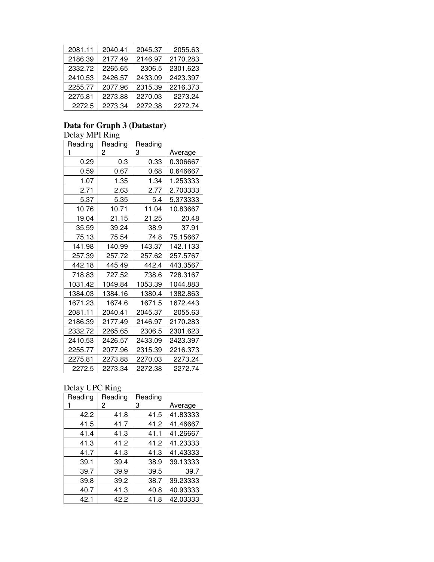| 2081.11 | 2040.41 | 2045.37 | 2055.63  |
|---------|---------|---------|----------|
| 2186.39 | 2177.49 | 2146.97 | 2170.283 |
| 2332.72 | 2265.65 | 2306.5  | 2301.623 |
| 2410.53 | 2426.57 | 2433.09 | 2423.397 |
| 2255.77 | 2077.96 | 2315.39 | 2216.373 |
| 2275.81 | 2273.88 | 2270.03 | 2273.24  |
| 2272.5  | 2273.34 | 2272.38 | 2272.74  |

### **Data for Graph 3 (Datastar)**  Delay MPI Ring

| Reading | Reading | Reading |          |
|---------|---------|---------|----------|
| 1       | 2       | 3       | Average  |
| 0.29    | 0.3     | 0.33    | 0.306667 |
| 0.59    | 0.67    | 0.68    | 0.646667 |
| 1.07    | 1.35    | 1.34    | 1.253333 |
| 2.71    | 2.63    | 2.77    | 2.703333 |
| 5.37    | 5.35    | 5.4     | 5.373333 |
| 10.76   | 10.71   | 11.04   | 10.83667 |
| 19.04   | 21.15   | 21.25   | 20.48    |
| 35.59   | 39.24   | 38.9    | 37.91    |
| 75.13   | 75.54   | 74.8    | 75.15667 |
| 141.98  | 140.99  | 143.37  | 142.1133 |
| 257.39  | 257.72  | 257.62  | 257.5767 |
| 442.18  | 445.49  | 442.4   | 443.3567 |
| 718.83  | 727.52  | 738.6   | 728.3167 |
| 1031.42 | 1049.84 | 1053.39 | 1044.883 |
| 1384.03 | 1384.16 | 1380.4  | 1382.863 |
| 1671.23 | 1674.6  | 1671.5  | 1672.443 |
| 2081.11 | 2040.41 | 2045.37 | 2055.63  |
| 2186.39 | 2177.49 | 2146.97 | 2170.283 |
| 2332.72 | 2265.65 | 2306.5  | 2301.623 |
| 2410.53 | 2426.57 | 2433.09 | 2423.397 |
| 2255.77 | 2077.96 | 2315.39 | 2216.373 |
| 2275.81 | 2273.88 | 2270.03 | 2273.24  |
| 2272.5  | 2273.34 | 2272.38 | 2272.74  |

Delay UPC Ring

| Reading | Reading | Reading |          |
|---------|---------|---------|----------|
|         | 2       | З       | Average  |
| 42.2    | 41.8    | 41.5    | 41.83333 |
| 41.5    | 41.7    | 41.2    | 41.46667 |
| 41.4    | 41.3    | 41.1    | 41.26667 |
| 41.3    | 41.2    | 41.2    | 41.23333 |
| 41.7    | 41.3    | 41.3    | 41.43333 |
| 39.1    | 39.4    | 38.9    | 39.13333 |
| 39.7    | 39.9    | 39.5    | 39.7     |
| 39.8    | 39.2    | 38.7    | 39.23333 |
| 40.7    | 41.3    | 40.8    | 40.93333 |
| 42.1    | 42.2    | 41.8    | 42.03333 |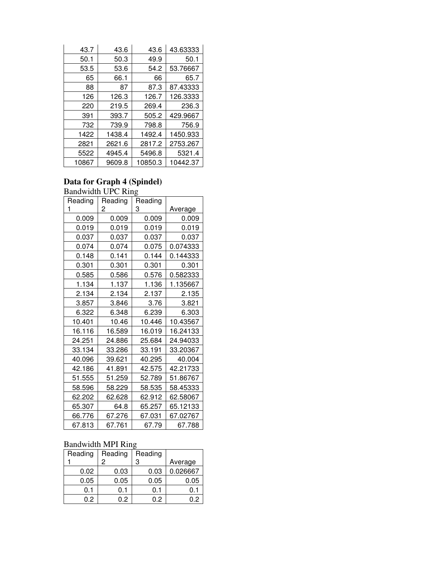| 43.7  | 43.6   | 43.6    | 43.63333 |
|-------|--------|---------|----------|
| 50.1  | 50.3   | 49.9    | 50.1     |
| 53.5  | 53.6   | 54.2    | 53.76667 |
| 65    | 66.1   | 66      | 65.7     |
| 88    | 87     | 87.3    | 87.43333 |
| 126   | 126.3  | 126.7   | 126.3333 |
| 220   | 219.5  | 269.4   | 236.3    |
| 391   | 393.7  | 505.2   | 429.9667 |
| 732   | 739.9  | 798.8   | 756.9    |
| 1422  | 1438.4 | 1492.4  | 1450.933 |
| 2821  | 2621.6 | 2817.2  | 2753.267 |
| 5522  | 4945.4 | 5496.8  | 5321.4   |
| 10867 | 9609.8 | 10850.3 | 10442.37 |

#### **Data for Graph 4 (Spindel)**  Bandwidth UPC Ring

| Reading | Reading | Reading |          |
|---------|---------|---------|----------|
| 1       | 2       | 3       | Average  |
| 0.009   | 0.009   | 0.009   | 0.009    |
| 0.019   | 0.019   | 0.019   | 0.019    |
| 0.037   | 0.037   | 0.037   | 0.037    |
| 0.074   | 0.074   | 0.075   | 0.074333 |
| 0.148   | 0.141   | 0.144   | 0.144333 |
| 0.301   | 0.301   | 0.301   | 0.301    |
| 0.585   | 0.586   | 0.576   | 0.582333 |
| 1.134   | 1.137   | 1.136   | 1.135667 |
| 2.134   | 2.134   | 2.137   | 2.135    |
| 3.857   | 3.846   | 3.76    | 3.821    |
| 6.322   | 6.348   | 6.239   | 6.303    |
| 10.401  | 10.46   | 10.446  | 10.43567 |
| 16.116  | 16.589  | 16.019  | 16.24133 |
| 24.251  | 24.886  | 25.684  | 24.94033 |
| 33.134  | 33.286  | 33.191  | 33.20367 |
| 40.096  | 39.621  | 40.295  | 40.004   |
| 42.186  | 41.891  | 42.575  | 42.21733 |
| 51.555  | 51.259  | 52.789  | 51.86767 |
| 58.596  | 58.229  | 58.535  | 58.45333 |
| 62.202  | 62.628  | 62.912  | 62.58067 |
| 65.307  | 64.8    | 65.257  | 65.12133 |
| 66.776  | 67.276  | 67.031  | 67.02767 |
| 67.813  | 67.761  | 67.79   | 67.788   |

### Bandwidth MPI Ring

| Reading | Reading | Reading |          |
|---------|---------|---------|----------|
|         | 2       | З       | Average  |
| 0.02    | 0.03    | 0.03    | 0.026667 |
| 0.05    | 0.05    | 0.05    | 0.05     |
| 0.1     | 0.1     | 0.1     | U. 1     |
| 0.2     | በ 2     | በ 2     | 0.2      |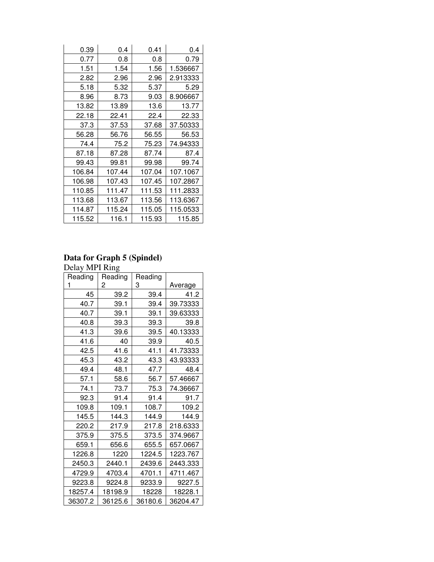| 0.39   | 0.4    | 0.41   | 0.4      |
|--------|--------|--------|----------|
| 0.77   | 0.8    | 0.8    | 0.79     |
| 1.51   | 1.54   | 1.56   | 1.536667 |
| 2.82   | 2.96   | 2.96   | 2.913333 |
| 5.18   | 5.32   | 5.37   | 5.29     |
| 8.96   | 8.73   | 9.03   | 8.906667 |
| 13.82  | 13.89  | 13.6   | 13.77    |
| 22.18  | 22.41  | 22.4   | 22.33    |
| 37.3   | 37.53  | 37.68  | 37.50333 |
| 56.28  | 56.76  | 56.55  | 56.53    |
| 74.4   | 75.2   | 75.23  | 74.94333 |
| 87.18  | 87.28  | 87.74  | 87.4     |
| 99.43  | 99.81  | 99.98  | 99.74    |
| 106.84 | 107.44 | 107.04 | 107.1067 |
| 106.98 | 107.43 | 107.45 | 107.2867 |
| 110.85 | 111.47 | 111.53 | 111.2833 |
| 113.68 | 113.67 | 113.56 | 113.6367 |
| 114.87 | 115.24 | 115.05 | 115.0533 |
| 115.52 | 116.1  | 115.93 | 115.85   |

#### **Data for Graph 5 (Spindel)**

Delay MPI Ring

| Reading | Reading | Reading |          |
|---------|---------|---------|----------|
| 1       | 2       | 3       | Average  |
| 45      | 39.2    | 39.4    | 41.2     |
| 40.7    | 39.1    | 39.4    | 39.73333 |
| 40.7    | 39.1    | 39.1    | 39.63333 |
| 40.8    | 39.3    | 39.3    | 39.8     |
| 41.3    | 39.6    | 39.5    | 40.13333 |
| 41.6    | 40      | 39.9    | 40.5     |
| 42.5    | 41.6    | 41.1    | 41.73333 |
| 45.3    | 43.2    | 43.3    | 43.93333 |
| 49.4    | 48.1    | 47.7    | 48.4     |
| 57.1    | 58.6    | 56.7    | 57.46667 |
| 74.1    | 73.7    | 75.3    | 74.36667 |
| 92.3    | 91.4    | 91.4    | 91.7     |
| 109.8   | 109.1   | 108.7   | 109.2    |
| 145.5   | 144.3   | 144.9   | 144.9    |
| 220.2   | 217.9   | 217.8   | 218.6333 |
| 375.9   | 375.5   | 373.5   | 374.9667 |
| 659.1   | 656.6   | 655.5   | 657.0667 |
| 1226.8  | 1220    | 1224.5  | 1223.767 |
| 2450.3  | 2440.1  | 2439.6  | 2443.333 |
| 4729.9  | 4703.4  | 4701.1  | 4711.467 |
| 9223.8  | 9224.8  | 9233.9  | 9227.5   |
| 18257.4 | 18198.9 | 18228   | 18228.1  |
| 36307.2 | 36125.6 | 36180.6 | 36204.47 |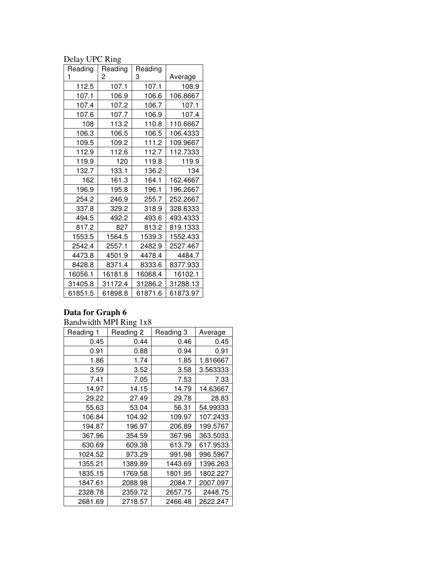Delay UPC Ring

| Reading | $\circ$<br>Reading | Reading |          |
|---------|--------------------|---------|----------|
| 1       | 2                  | 3       | Average  |
| 112.5   | 107.1              | 107.1   | 108.9    |
| 107.1   | 106.9              | 106.6   | 106.8667 |
| 107.4   | 107.2              | 106.7   | 107.1    |
| 107.6   | 107.7              | 106.9   | 107.4    |
| 108     | 113.2              | 110.8   | 110.6667 |
| 106.3   | 106.5              | 106.5   | 106.4333 |
| 109.5   | 109.2              | 111.2   | 109.9667 |
| 112.9   | 112.6              | 112.7   | 112.7333 |
| 119.9   | 120                | 119.8   | 119.9    |
| 132.7   | 133.1              | 136.2   | 134      |
| 162     | 161.3              | 164.1   | 162.4667 |
| 196.9   | 195.8              | 196.1   | 196.2667 |
| 254.2   | 246.9              | 255.7   | 252.2667 |
| 337.8   | 329.2              | 318.9   | 328.6333 |
| 494.5   | 492.2              | 493.6   | 493.4333 |
| 817.2   | 827                | 813.2   | 819.1333 |
| 1553.5  | 1564.5             | 1539.3  | 1552.433 |
| 2542.4  | 2557.1             | 2482.9  | 2527.467 |
| 4473.8  | 4501.9             | 4478.4  | 4484.7   |
| 8428.8  | 8371.4             | 8333.6  | 8377.933 |
| 16056.1 | 16181.8            | 16068.4 | 16102.1  |
| 31405.8 | 31172.4            | 31286.2 | 31288.13 |
| 61851.5 | 61898.8            | 61871.6 | 61873.97 |

### **Data for Graph 6**

Bandwidth MPI Ring 1x8

| Reading 1 | Reading 2 | Reading 3 | Average  |
|-----------|-----------|-----------|----------|
| 0.45      | 0.44      | 0.46      | 0.45     |
| 0.91      | 0.88      | 0.94      | 0.91     |
| 1.86      | 1.74      | 1.85      | 1.816667 |
| 3.59      | 3.52      | 3.58      | 3.563333 |
| 7.41      | 7.05      | 7.53      | 7.33     |
| 14.97     | 14.15     | 14.79     | 14.63667 |
| 29.22     | 27.49     | 29.78     | 28.83    |
| 55.63     | 53.04     | 56.31     | 54.99333 |
| 106.84    | 104.92    | 109.97    | 107.2433 |
| 194.87    | 196.97    | 206.89    | 199.5767 |
| 367.96    | 354.59    | 367.96    | 363.5033 |
| 630.69    | 609.38    | 613.79    | 617.9533 |
| 1024.52   | 973.29    | 991.98    | 996.5967 |
| 1355.21   | 1389.89   | 1443.69   | 1396.263 |
| 1835.15   | 1769.58   | 1801.95   | 1802.227 |
| 1847.61   | 2088.98   | 2084.7    | 2007.097 |
| 2328.78   | 2359.72   | 2657.75   | 2448.75  |
| 2681.69   | 2718.57   | 2466.48   | 2622.247 |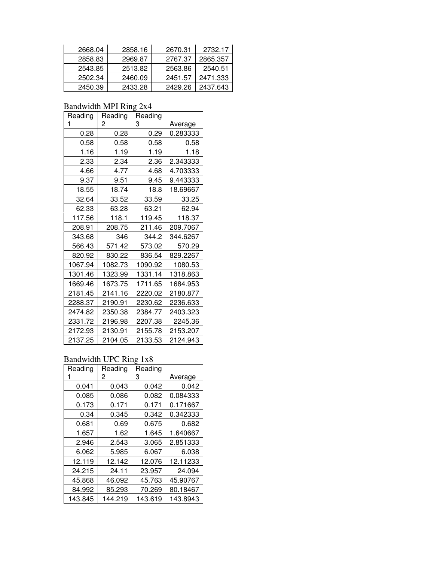| 2668.04 | 2858.16 | 2670.31 | 2732 17  |
|---------|---------|---------|----------|
| 2858.83 | 2969.87 | 2767.37 | 2865.357 |
| 2543.85 | 2513.82 | 2563.86 | 2540.51  |
| 2502.34 | 2460.09 | 2451.57 | 2471.333 |
| 2450.39 | 2433.28 | 2429.26 | 2437.643 |

 $\overline{\phantom{a}}$ 

### Bandwidth MPI Ring 2x4

| Reading | Reading | Reading |          |
|---------|---------|---------|----------|
| 1       | 2       | 3       | Average  |
| 0.28    | 0.28    | 0.29    | 0.283333 |
| 0.58    | 0.58    | 0.58    | 0.58     |
| 1.16    | 1.19    | 1.19    | 1.18     |
| 2.33    | 2.34    | 2.36    | 2.343333 |
| 4.66    | 4.77    | 4.68    | 4.703333 |
| 9.37    | 9.51    | 9.45    | 9.443333 |
| 18.55   | 18.74   | 18.8    | 18.69667 |
| 32.64   | 33.52   | 33.59   | 33.25    |
| 62.33   | 63.28   | 63.21   | 62.94    |
| 117.56  | 118.1   | 119.45  | 118.37   |
| 208.91  | 208.75  | 211.46  | 209.7067 |
| 343.68  | 346     | 344.2   | 344.6267 |
| 566.43  | 571.42  | 573.02  | 570.29   |
| 820.92  | 830.22  | 836.54  | 829.2267 |
| 1067.94 | 1082.73 | 1090.92 | 1080.53  |
| 1301.46 | 1323.99 | 1331.14 | 1318.863 |
| 1669.46 | 1673.75 | 1711.65 | 1684.953 |
| 2181.45 | 2141.16 | 2220.02 | 2180.877 |
| 2288.37 | 2190.91 | 2230.62 | 2236.633 |
| 2474.82 | 2350.38 | 2384.77 | 2403.323 |
| 2331.72 | 2196.98 | 2207.38 | 2245.36  |
| 2172.93 | 2130.91 | 2155.78 | 2153.207 |
| 2137.25 | 2104.05 | 2133.53 | 2124.943 |

### Bandwidth UPC Ring 1x8

| Reading | Reading | Reading |          |
|---------|---------|---------|----------|
|         | 2       | 3       | Average  |
| 0.041   | 0.043   | 0.042   | 0.042    |
| 0.085   | 0.086   | 0.082   | 0.084333 |
| 0.173   | 0.171   | 0.171   | 0.171667 |
| 0.34    | 0.345   | 0.342   | 0.342333 |
| 0.681   | 0.69    | 0.675   | 0.682    |
| 1.657   | 1.62    | 1.645   | 1.640667 |
| 2.946   | 2.543   | 3.065   | 2.851333 |
| 6.062   | 5.985   | 6.067   | 6.038    |
| 12.119  | 12.142  | 12.076  | 12.11233 |
| 24.215  | 24.11   | 23.957  | 24.094   |
| 45.868  | 46.092  | 45.763  | 45.90767 |
| 84.992  | 85.293  | 70.269  | 80.18467 |
| 143.845 | 144.219 | 143.619 | 143.8943 |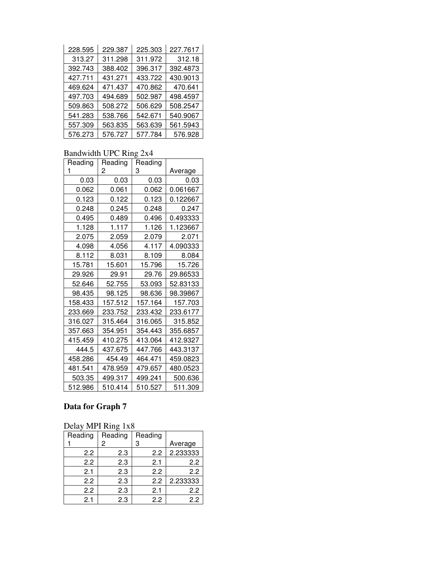| 228.595 | 229.387 | 225.303 | 227.7617 |
|---------|---------|---------|----------|
| 313.27  | 311.298 | 311.972 | 312.18   |
| 392.743 | 388.402 | 396.317 | 392.4873 |
| 427.711 | 431.271 | 433.722 | 430.9013 |
| 469.624 | 471.437 | 470.862 | 470.641  |
| 497.703 | 494.689 | 502.987 | 498.4597 |
| 509.863 | 508.272 | 506.629 | 508.2547 |
| 541.283 | 538.766 | 542.671 | 540.9067 |
| 557.309 | 563.835 | 563.639 | 561.5943 |
| 576.273 | 576.727 | 577.784 | 576.928  |

### Bandwidth UPC Ring 2x4

| Reading | Reading | Reading |          |
|---------|---------|---------|----------|
| 1       | 2       | 3       | Average  |
| 0.03    | 0.03    | 0.03    | 0.03     |
| 0.062   | 0.061   | 0.062   | 0.061667 |
| 0.123   | 0.122   | 0.123   | 0.122667 |
| 0.248   | 0.245   | 0.248   | 0.247    |
| 0.495   | 0.489   | 0.496   | 0.493333 |
| 1.128   | 1.117   | 1.126   | 1.123667 |
| 2.075   | 2.059   | 2.079   | 2.071    |
| 4.098   | 4.056   | 4.117   | 4.090333 |
| 8.112   | 8.031   | 8.109   | 8.084    |
| 15.781  | 15.601  | 15.796  | 15.726   |
| 29.926  | 29.91   | 29.76   | 29.86533 |
| 52.646  | 52.755  | 53.093  | 52.83133 |
| 98.435  | 98.125  | 98.636  | 98.39867 |
| 158.433 | 157.512 | 157.164 | 157.703  |
| 233.669 | 233.752 | 233.432 | 233.6177 |
| 316.027 | 315.464 | 316.065 | 315.852  |
| 357.663 | 354.951 | 354.443 | 355.6857 |
| 415.459 | 410.275 | 413.064 | 412.9327 |
| 444.5   | 437.675 | 447.766 | 443.3137 |
| 458.286 | 454.49  | 464.471 | 459.0823 |
| 481.541 | 478.959 | 479.657 | 480.0523 |
| 503.35  | 499.317 | 499.241 | 500.636  |
| 512.986 | 510.414 | 510.527 | 511.309  |

### **Data for Graph 7**

| Reading | Reading | Reading |          |
|---------|---------|---------|----------|
|         | 2       | 3       | Average  |
| 2.2     | 2.3     | 2.2     | 2.233333 |
| 2.2     | 2.3     | 2.1     | 2.2      |
| 2.1     | 2.3     | 2.2     | 2.2      |
| 2.2     | 2.3     | 2.2     | 2.233333 |
| 2.2     | 2.3     | 2.1     | 2.2      |
| 2.1     | 2.3     | 2.2     | 2.2      |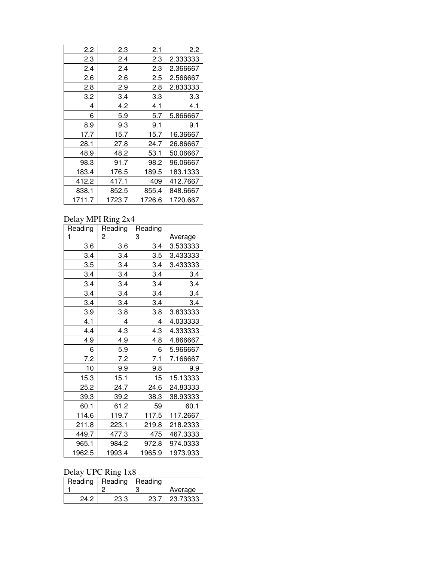| 2.2    | 2.3    | 2.1    | 2.2      |
|--------|--------|--------|----------|
| 2.3    | 2.4    | 2.3    | 2.333333 |
| 2.4    | 2.4    | 2.3    | 2.366667 |
| 2.6    | 2.6    | 2.5    | 2.566667 |
| 2.8    | 2.9    | 2.8    | 2.833333 |
| 3.2    | 3.4    | 3.3    | 3.3      |
| 4      | 4.2    | 4.1    | 4.1      |
| 6      | 5.9    | 5.7    | 5.866667 |
| 8.9    | 9.3    | 9.1    | 9.1      |
| 17.7   | 15.7   | 15.7   | 16.36667 |
| 28.1   | 27.8   | 24.7   | 26.86667 |
| 48.9   | 48.2   | 53.1   | 50.06667 |
| 98.3   | 91.7   | 98.2   | 96.06667 |
| 183.4  | 176.5  | 189.5  | 183.1333 |
| 412.2  | 417.1  | 409    | 412.7667 |
| 838.1  | 852.5  | 855.4  | 848.6667 |
| 1711.7 | 1723.7 | 1726.6 | 1720.667 |

Delay MPI Ring 2x4

| Reading | Reading | Reading |          |
|---------|---------|---------|----------|
| 1       | 2       | 3       | Average  |
| 3.6     | 3.6     | 3.4     | 3.533333 |
| 3.4     | 3.4     | 3.5     | 3.433333 |
| 3.5     | 3.4     | 3.4     | 3.433333 |
| 3.4     | 3.4     | 3.4     | 3.4      |
| 3.4     | 3.4     | 3.4     | 3.4      |
| 3.4     | 3.4     | 3.4     | 3.4      |
| 3.4     | 3.4     | 3.4     | 3.4      |
| 3.9     | 3.8     | 3.8     | 3.833333 |
| 4.1     | 4       | 4       | 4.033333 |
| 4.4     | 4.3     | 4.3     | 4.333333 |
| 4.9     | 4.9     | 4.8     | 4.866667 |
| 6       | 5.9     | 6       | 5.966667 |
| 7.2     | 7.2     | 7.1     | 7.166667 |
| 10      | 9.9     | 9.8     | 9.9      |
| 15.3    | 15.1    | 15      | 15.13333 |
| 25.2    | 24.7    | 24.6    | 24.83333 |
| 39.3    | 39.2    | 38.3    | 38.93333 |
| 60.1    | 61.2    | 59      | 60.1     |
| 114.6   | 119.7   | 117.5   | 117.2667 |
| 211.8   | 223.1   | 219.8   | 218.2333 |
| 449.7   | 477.3   | 475     | 467.3333 |
| 965.1   | 984.2   | 972.8   | 974.0333 |
| 1962.5  | 1993.4  | 1965.9  | 1973.933 |

### Delay UPC Ring 1x8

|      | Reading   Reading   Reading |      |          |
|------|-----------------------------|------|----------|
|      |                             |      | Average  |
| 24 2 | 23.3                        | 23.7 | 23.73333 |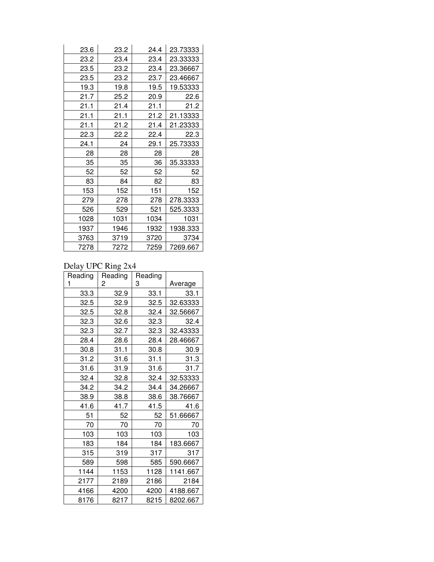| 23.6 | 23.2 | 24.4 | 23.73333 |
|------|------|------|----------|
| 23.2 | 23.4 | 23.4 | 23.33333 |
| 23.5 | 23.2 | 23.4 | 23.36667 |
| 23.5 | 23.2 | 23.7 | 23.46667 |
| 19.3 | 19.8 | 19.5 | 19.53333 |
| 21.7 | 25.2 | 20.9 | 22.6     |
| 21.1 | 21.4 | 21.1 | 21.2     |
| 21.1 | 21.1 | 21.2 | 21.13333 |
| 21.1 | 21.2 | 21.4 | 21.23333 |
| 22.3 | 22.2 | 22.4 | 22.3     |
| 24.1 | 24   | 29.1 | 25.73333 |
| 28   | 28   | 28   | 28       |
| 35   | 35   | 36   | 35.33333 |
| 52   | 52   | 52   | 52       |
| 83   | 84   | 82   | 83       |
| 153  | 152  | 151  | 152      |
| 279  | 278  | 278  | 278.3333 |
| 526  | 529  | 521  | 525.3333 |
| 1028 | 1031 | 1034 | 1031     |
| 1937 | 1946 | 1932 | 1938.333 |
| 3763 |      |      |          |
|      | 3719 | 3720 | 3734     |

## Delay UPC Ring 2x4

| Reading | Reading | Reading |          |
|---------|---------|---------|----------|
| 1       | 2       | 3       | Average  |
| 33.3    | 32.9    | 33.1    | 33.1     |
| 32.5    | 32.9    | 32.5    | 32.63333 |
| 32.5    | 32.8    | 32.4    | 32.56667 |
| 32.3    | 32.6    | 32.3    | 32.4     |
| 32.3    | 32.7    | 32.3    | 32.43333 |
| 28.4    | 28.6    | 28.4    | 28.46667 |
| 30.8    | 31.1    | 30.8    | 30.9     |
| 31.2    | 31.6    | 31.1    | 31.3     |
| 31.6    | 31.9    | 31.6    | 31.7     |
| 32.4    | 32.8    | 32.4    | 32.53333 |
| 34.2    | 34.2    | 34.4    | 34.26667 |
| 38.9    | 38.8    | 38.6    | 38.76667 |
| 41.6    | 41.7    | 41.5    | 41.6     |
| 51      | 52      | 52      | 51.66667 |
| 70      | 70      | 70      | 70       |
| 103     | 103     | 103     | 103      |
| 183     | 184     | 184     | 183.6667 |
| 315     | 319     | 317     | 317      |
| 589     | 598     | 585     | 590.6667 |
| 1144    | 1153    | 1128    | 1141.667 |
| 2177    | 2189    | 2186    | 2184     |
| 4166    | 4200    | 4200    | 4188.667 |
| 8176    | 8217    | 8215    | 8202.667 |